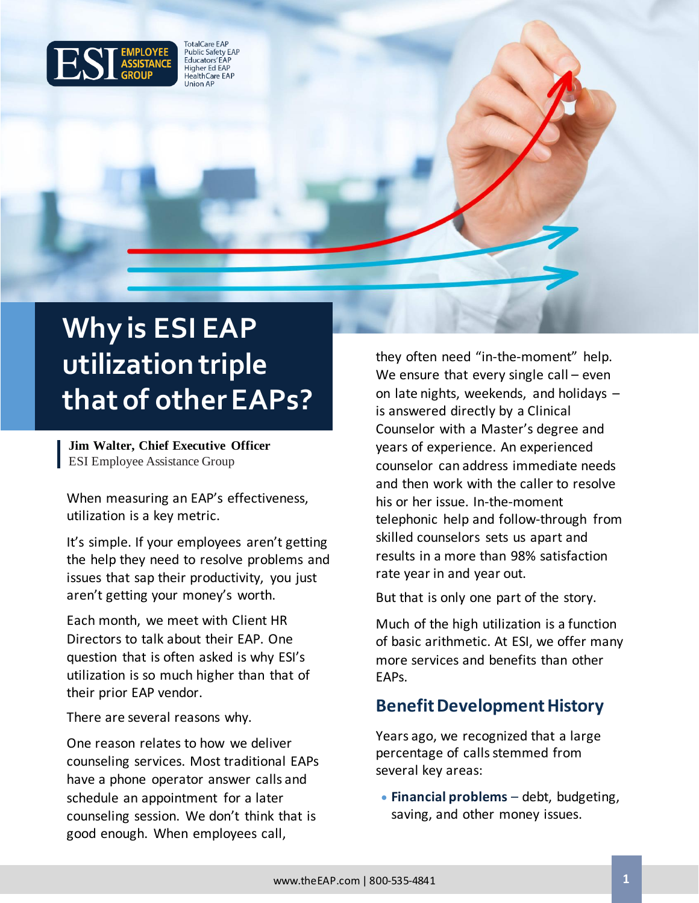

**TotalCare EAP** Public Safety EAP Educators' EAP Higher Ed EAP<br>HealthCare EAP **Union AP** 

# **Why is ESI EAP utilization triple that of other EAPs?**

**Jim Walter, Chief Executive Officer** ESI Employee Assistance Group

When measuring an EAP's effectiveness, utilization is a key metric.

It's simple. If your employees aren't getting the help they need to resolve problems and issues that sap their productivity, you just aren't getting your money's worth.

Each month, we meet with Client HR Directors to talk about their EAP. One question that is often asked is why ESI's utilization is so much higher than that of their prior EAP vendor.

There are several reasons why.

One reason relates to how we deliver counseling services. Most traditional EAPs have a phone operator answer calls and schedule an appointment for a later counseling session. We don't think that is good enough. When employees call,

they often need "in-the-moment" help. We ensure that every single call – even on late nights, weekends, and holidays – is answered directly by a Clinical Counselor with a Master's degree and years of experience. An experienced counselor can address immediate needs and then work with the caller to resolve his or her issue. In-the-moment telephonic help and follow-through from skilled counselors sets us apart and results in a more than 98% satisfaction rate year in and year out.

But that is only one part of the story.

Much of the high utilization is a function of basic arithmetic. At ESI, we offer many more services and benefits than other EAPs.

#### **Benefit Development History**

Years ago, we recognized that a large percentage of calls stemmed from several key areas:

• **Financial problems** – debt, budgeting, saving, and other money issues.